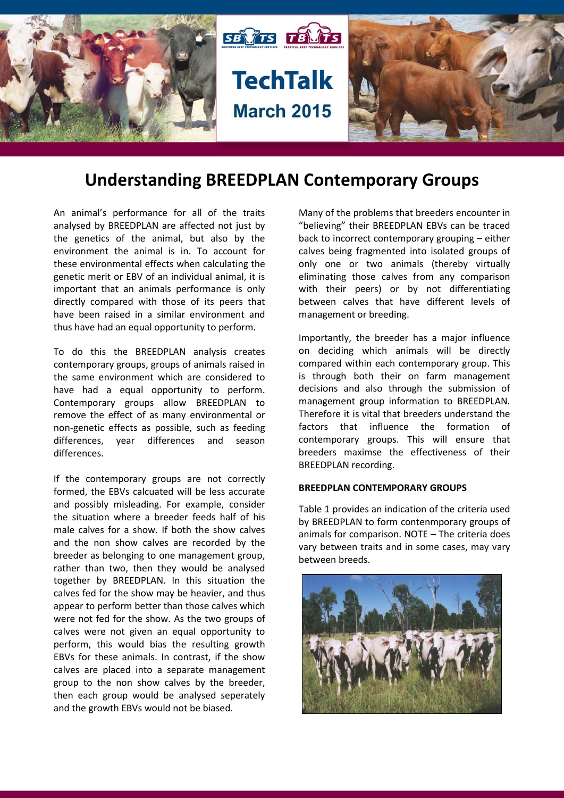

# **Understanding BREEDPLAN Contemporary Groups**

An animal's performance for all of the traits analysed by BREEDPLAN are affected not just by the genetics of the animal, but also by the environment the animal is in. To account for these environmental effects when calculating the genetic merit or EBV of an individual animal, it is important that an animals performance is only directly compared with those of its peers that have been raised in a similar environment and thus have had an equal opportunity to perform.

To do this the BREEDPLAN analysis creates contemporary groups, groups of animals raised in the same environment which are considered to have had a equal opportunity to perform. Contemporary groups allow BREEDPLAN to remove the effect of as many environmental or non-genetic effects as possible, such as feeding differences, year differences and season differences.

If the contemporary groups are not correctly formed, the EBVs calcuated will be less accurate and possibly misleading. For example, consider the situation where a breeder feeds half of his male calves for a show. If both the show calves and the non show calves are recorded by the breeder as belonging to one management group, rather than two, then they would be analysed together by BREEDPLAN. In this situation the calves fed for the show may be heavier, and thus appear to perform better than those calves which were not fed for the show. As the two groups of calves were not given an equal opportunity to perform, this would bias the resulting growth EBVs for these animals. In contrast, if the show calves are placed into a separate management group to the non show calves by the breeder, then each group would be analysed seperately and the growth EBVs would not be biased.

Many of the problems that breeders encounter in "believing" their BREEDPLAN EBVs can be traced back to incorrect contemporary grouping – either calves being fragmented into isolated groups of only one or two animals (thereby virtually eliminating those calves from any comparison with their peers) or by not differentiating between calves that have different levels of management or breeding.

Importantly, the breeder has a major influence on deciding which animals will be directly compared within each contemporary group. This is through both their on farm management decisions and also through the submission of management group information to BREEDPLAN. Therefore it is vital that breeders understand the factors that influence the formation of contemporary groups. This will ensure that breeders maximse the effectiveness of their BREEDPLAN recording.

## **BREEDPLAN CONTEMPORARY GROUPS**

Table 1 provides an indication of the criteria used by BREEDPLAN to form contenmporary groups of animals for comparison. NOTE – The criteria does vary between traits and in some cases, may vary between breeds.

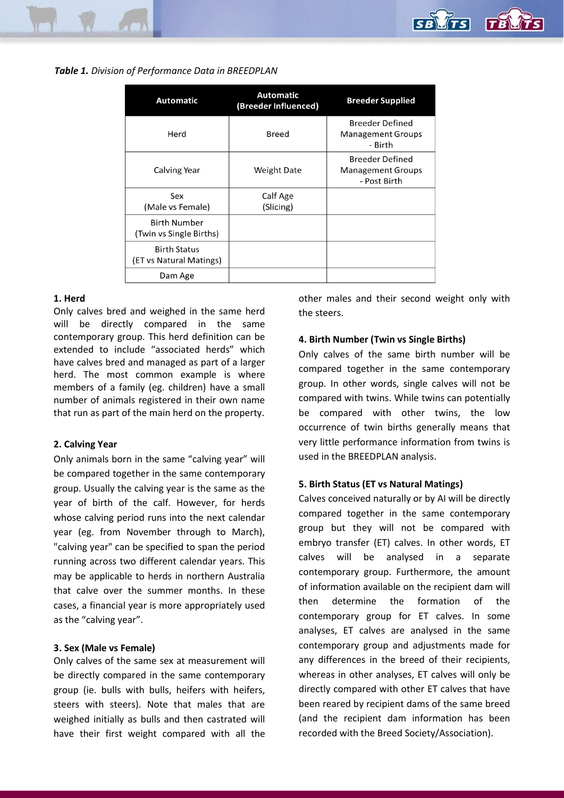*Table 1. Division of Performance Data in BREEDPLAN*

| <b>Automatic</b>                               | <b>Automatic</b><br>(Breeder Influenced) | <b>Breeder Supplied</b>                                            |
|------------------------------------------------|------------------------------------------|--------------------------------------------------------------------|
| Herd                                           | Breed                                    | <b>Breeder Defined</b><br><b>Management Groups</b><br>- Birth      |
| Calving Year                                   | <b>Weight Date</b>                       | <b>Breeder Defined</b><br><b>Management Groups</b><br>- Post Birth |
| Sex<br>(Male vs Female)                        | Calf Age<br>(Slicing)                    |                                                                    |
| <b>Birth Number</b><br>(Twin vs Single Births) |                                          |                                                                    |
| <b>Birth Status</b><br>(ET vs Natural Matings) |                                          |                                                                    |
| Dam Age                                        |                                          |                                                                    |

## **1. Herd**

Only calves bred and weighed in the same herd will be directly compared in the same contemporary group. This herd definition can be extended to include "associated herds" which have calves bred and managed as part of a larger herd. The most common example is where members of a family (eg. children) have a small number of animals registered in their own name that run as part of the main herd on the property.

# **2. Calving Year**

Only animals born in the same "calving year" will be compared together in the same contemporary group. Usually the calving year is the same as the year of birth of the calf. However, for herds whose calving period runs into the next calendar year (eg. from November through to March), "calving year" can be specified to span the period running across two different calendar years. This may be applicable to herds in northern Australia that calve over the summer months. In these cases, a financial year is more appropriately used as the "calving year".

# **3. Sex (Male vs Female)**

Only calves of the same sex at measurement will be directly compared in the same contemporary group (ie. bulls with bulls, heifers with heifers, steers with steers). Note that males that are weighed initially as bulls and then castrated will have their first weight compared with all the other males and their second weight only with the steers.

# **4. Birth Number (Twin vs Single Births)**

Only calves of the same birth number will be compared together in the same contemporary group. In other words, single calves will not be compared with twins. While twins can potentially be compared with other twins, the low occurrence of twin births generally means that very little performance information from twins is used in the BREEDPLAN analysis.

# **5. Birth Status (ET vs Natural Matings)**

Calves conceived naturally or by AI will be directly compared together in the same contemporary group but they will not be compared with embryo transfer (ET) calves. In other words, ET calves will be analysed in a separate contemporary group. Furthermore, the amount of information available on the recipient dam will then determine the formation of the contemporary group for ET calves. In some analyses, ET calves are analysed in the same contemporary group and adjustments made for any differences in the breed of their recipients, whereas in other analyses, ET calves will only be directly compared with other ET calves that have been reared by recipient dams of the same breed (and the recipient dam information has been recorded with the Breed Society/Association).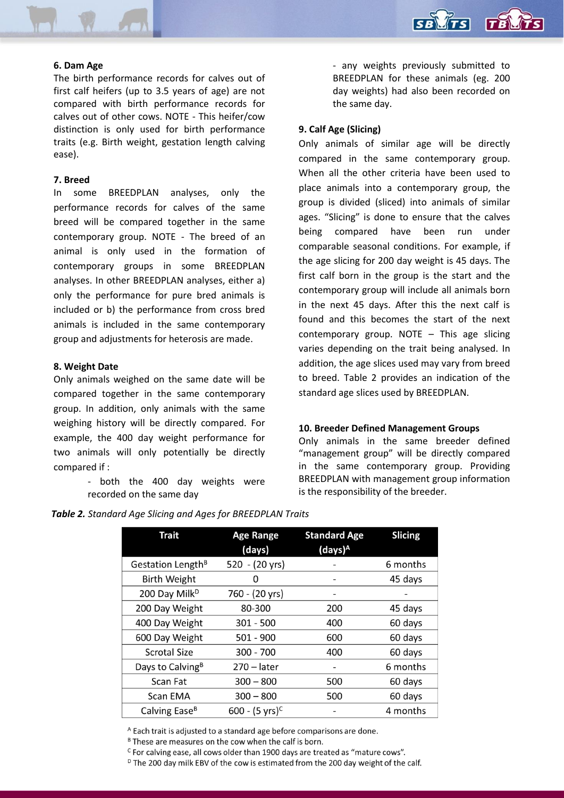

## **6. Dam Age**

The birth performance records for calves out of first calf heifers (up to 3.5 years of age) are not compared with birth performance records for calves out of other cows. NOTE - This heifer/cow distinction is only used for birth performance traits (e.g. Birth weight, gestation length calving ease).

### **7. Breed**

In some BREEDPLAN analyses, only the performance records for calves of the same breed will be compared together in the same contemporary group. NOTE - The breed of an animal is only used in the formation of contemporary groups in some BREEDPLAN analyses. In other BREEDPLAN analyses, either a) only the performance for pure bred animals is included or b) the performance from cross bred animals is included in the same contemporary group and adjustments for heterosis are made.

#### **8. Weight Date**

Only animals weighed on the same date will be compared together in the same contemporary group. In addition, only animals with the same weighing history will be directly compared. For example, the 400 day weight performance for two animals will only potentially be directly compared if :

> - both the 400 day weights were recorded on the same day

- any weights previously submitted to BREEDPLAN for these animals (eg. 200 day weights) had also been recorded on the same day.

## **9. Calf Age (Slicing)**

Only animals of similar age will be directly compared in the same contemporary group. When all the other criteria have been used to place animals into a contemporary group, the group is divided (sliced) into animals of similar ages. "Slicing" is done to ensure that the calves being compared have been run under comparable seasonal conditions. For example, if the age slicing for 200 day weight is 45 days. The first calf born in the group is the start and the contemporary group will include all animals born in the next 45 days. After this the next calf is found and this becomes the start of the next contemporary group. NOTE – This age slicing varies depending on the trait being analysed. In addition, the age slices used may vary from breed to breed. Table 2 provides an indication of the standard age slices used by BREEDPLAN.

#### **10. Breeder Defined Management Groups**

Only animals in the same breeder defined "management group" will be directly compared in the same contemporary group. Providing BREEDPLAN with management group information is the responsibility of the breeder.

| <b>Trait</b>                  | <b>Age Range</b><br>(days) | <b>Standard Age</b><br>$(days)^A$ | <b>Slicing</b> |
|-------------------------------|----------------------------|-----------------------------------|----------------|
| Gestation Length <sup>B</sup> | 520 - (20 yrs)             |                                   | 6 months       |
| <b>Birth Weight</b>           | Ω                          |                                   | 45 days        |
| 200 Day Milk <sup>D</sup>     | 760 - (20 yrs)             | -                                 |                |
| 200 Day Weight                | 80-300                     | 200                               | 45 days        |
| 400 Day Weight                | $301 - 500$                | 400                               | 60 days        |
| 600 Day Weight                | $501 - 900$                | 600                               | 60 days        |
| <b>Scrotal Size</b>           | $300 - 700$                | 400                               | 60 days        |
| Days to Calving <sup>B</sup>  | $270 - later$              |                                   | 6 months       |
| Scan Fat                      | $300 - 800$                | 500                               | 60 days        |
| Scan EMA                      | $300 - 800$                | 500                               | 60 days        |
| Calving Ease <sup>B</sup>     | 600 - $(5 \text{ yrs})^C$  |                                   | 4 months       |

*Table 2. Standard Age Slicing and Ages for BREEDPLAN Traits*

<sup>A</sup> Each trait is adjusted to a standard age before comparisons are done.

<sup>B</sup> These are measures on the cow when the calf is born.

<sup>c</sup> For calving ease, all cows older than 1900 days are treated as "mature cows".

<sup>D</sup> The 200 day milk EBV of the cow is estimated from the 200 day weight of the calf.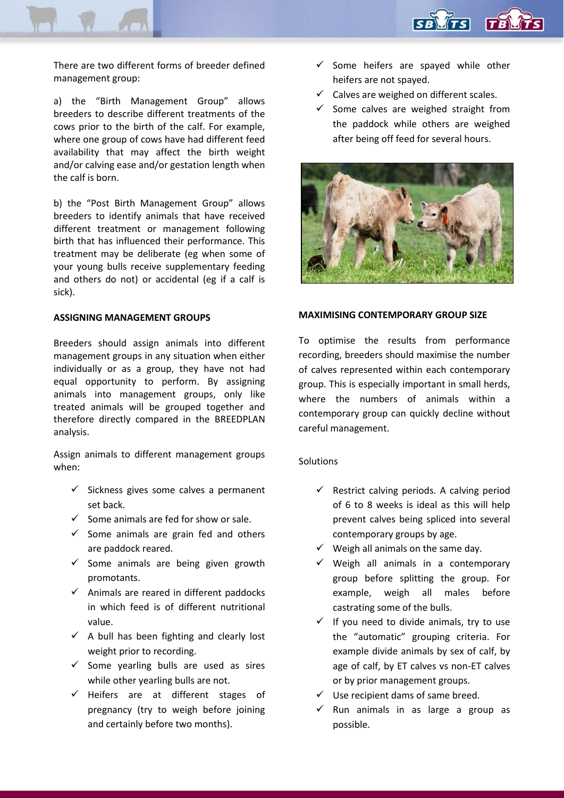

There are two different forms of breeder defined management group:

a) the "Birth Management Group" allows breeders to describe different treatments of the cows prior to the birth of the calf. For example, where one group of cows have had different feed availability that may affect the birth weight and/or calving ease and/or gestation length when the calf is born.

b) the "Post Birth Management Group" allows breeders to identify animals that have received different treatment or management following birth that has influenced their performance. This treatment may be deliberate (eg when some of your young bulls receive supplementary feeding and others do not) or accidental (eg if a calf is sick).

## **ASSIGNING MANAGEMENT GROUPS**

Breeders should assign animals into different management groups in any situation when either individually or as a group, they have not had equal opportunity to perform. By assigning animals into management groups, only like treated animals will be grouped together and therefore directly compared in the BREEDPLAN analysis.

Assign animals to different management groups when:

- $\checkmark$  Sickness gives some calves a permanent set back.
- $\checkmark$  Some animals are fed for show or sale.
- $\checkmark$  Some animals are grain fed and others are paddock reared.
- $\checkmark$  Some animals are being given growth promotants.
- $\checkmark$  Animals are reared in different paddocks in which feed is of different nutritional value.
- $\checkmark$  A bull has been fighting and clearly lost weight prior to recording.
- $\checkmark$  Some yearling bulls are used as sires while other yearling bulls are not.
- $\checkmark$  Heifers are at different stages of pregnancy (try to weigh before joining and certainly before two months).
- $\checkmark$  Some heifers are spayed while other heifers are not spayed.
- $\checkmark$  Calves are weighed on different scales.
- $\checkmark$  Some calves are weighed straight from the paddock while others are weighed after being off feed for several hours.



# **MAXIMISING CONTEMPORARY GROUP SIZE**

To optimise the results from performance recording, breeders should maximise the number of calves represented within each contemporary group. This is especially important in small herds, where the numbers of animals within a contemporary group can quickly decline without careful management.

# Solutions

- $\checkmark$  Restrict calving periods. A calving period of 6 to 8 weeks is ideal as this will help prevent calves being spliced into several contemporary groups by age.
- $\checkmark$  Weigh all animals on the same day.
- $\checkmark$  Weigh all animals in a contemporary group before splitting the group. For example, weigh all males before castrating some of the bulls.
- $\checkmark$  If you need to divide animals, try to use the "automatic" grouping criteria. For example divide animals by sex of calf, by age of calf, by ET calves vs non-ET calves or by prior management groups.
- $\checkmark$  Use recipient dams of same breed.
- $\checkmark$  Run animals in as large a group as possible.